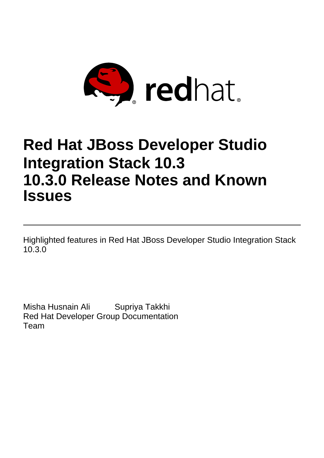

# **Red Hat JBoss Developer Studio Integration Stack 10.3 10.3.0 Release Notes and Known Issues**

Highlighted features in Red Hat JBoss Developer Studio Integration Stack 10.3.0

Misha Husnain Ali Supriya Takkhi Red Hat Developer Group Documentation Team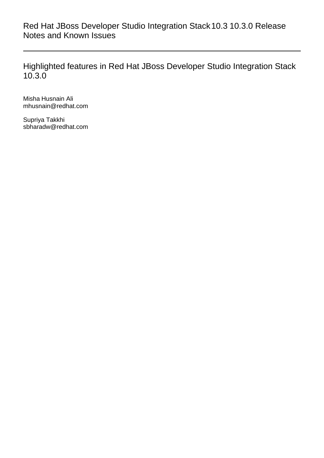Red Hat JBoss Developer Studio Integration Stack10.3 10.3.0 Release Notes and Known Issues

Highlighted features in Red Hat JBoss Developer Studio Integration Stack 10.3.0

Misha Husnain Ali mhusnain@redhat.com

Supriya Takkhi sbharadw@redhat.com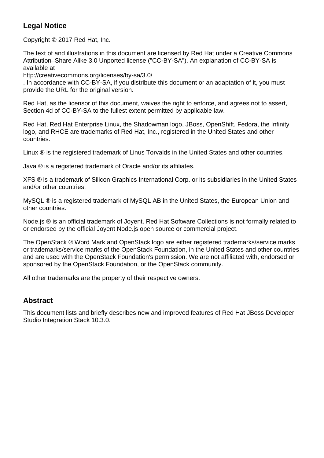## **Legal Notice**

Copyright © 2017 Red Hat, Inc.

The text of and illustrations in this document are licensed by Red Hat under a Creative Commons Attribution–Share Alike 3.0 Unported license ("CC-BY-SA"). An explanation of CC-BY-SA is available at

http://creativecommons.org/licenses/by-sa/3.0/

. In accordance with CC-BY-SA, if you distribute this document or an adaptation of it, you must provide the URL for the original version.

Red Hat, as the licensor of this document, waives the right to enforce, and agrees not to assert, Section 4d of CC-BY-SA to the fullest extent permitted by applicable law.

Red Hat, Red Hat Enterprise Linux, the Shadowman logo, JBoss, OpenShift, Fedora, the Infinity logo, and RHCE are trademarks of Red Hat, Inc., registered in the United States and other countries.

Linux ® is the registered trademark of Linus Torvalds in the United States and other countries.

Java ® is a registered trademark of Oracle and/or its affiliates.

XFS ® is a trademark of Silicon Graphics International Corp. or its subsidiaries in the United States and/or other countries.

MySQL ® is a registered trademark of MySQL AB in the United States, the European Union and other countries.

Node.js ® is an official trademark of Joyent. Red Hat Software Collections is not formally related to or endorsed by the official Joyent Node.js open source or commercial project.

The OpenStack ® Word Mark and OpenStack logo are either registered trademarks/service marks or trademarks/service marks of the OpenStack Foundation, in the United States and other countries and are used with the OpenStack Foundation's permission. We are not affiliated with, endorsed or sponsored by the OpenStack Foundation, or the OpenStack community.

All other trademarks are the property of their respective owners.

#### **Abstract**

This document lists and briefly describes new and improved features of Red Hat JBoss Developer Studio Integration Stack 10.3.0.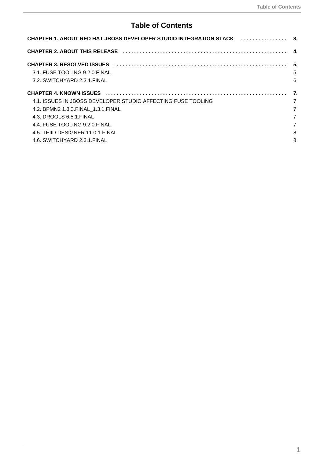## **Table of Contents**

| CHAPTER 2. ABOUT THIS RELEASE <b>ACCELIANT ACCEPTER 2. ABOUT THIS RELEASE</b><br>3.1. FUSE TOOLING 9.2.0. FINAL<br>5<br>6<br>3.2. SWITCHYARD 2.3.1. FINAL<br>CHAPTER 4. KNOWN ISSUES [10] CHAPTER 4. KNOWN ISSUES [10] CHAPTER 4. KNOWN ISSUES<br>4.1. ISSUES IN JBOSS DEVELOPER STUDIO AFFECTING FUSE TOOLING<br>7<br>7<br>4.2. BPMN2 1.3.3. FINAL 1.3.1. FINAL<br>7<br>4.3. DROOLS 6.5.1. FINAL<br>7<br>4.4. FUSE TOOLING 9.2.0. FINAL<br>8<br>4.5. TEIID DESIGNER 11.0.1. FINAL | CHAPTER 1. ABOUT RED HAT JBOSS DEVELOPER STUDIO INTEGRATION STACK [1, 1, 1, 1, 1, 1, 1, 1, 1, 3] |  |
|------------------------------------------------------------------------------------------------------------------------------------------------------------------------------------------------------------------------------------------------------------------------------------------------------------------------------------------------------------------------------------------------------------------------------------------------------------------------------------|--------------------------------------------------------------------------------------------------|--|
|                                                                                                                                                                                                                                                                                                                                                                                                                                                                                    |                                                                                                  |  |
|                                                                                                                                                                                                                                                                                                                                                                                                                                                                                    |                                                                                                  |  |
| 8<br>4.6. SWITCHYARD 2.3.1. FINAL                                                                                                                                                                                                                                                                                                                                                                                                                                                  |                                                                                                  |  |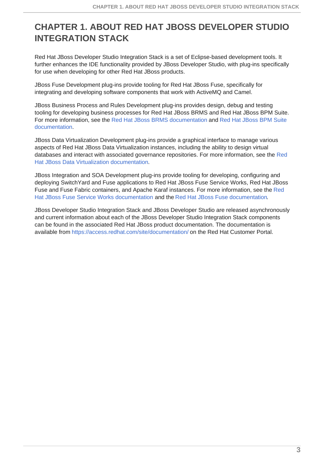# <span id="page-6-0"></span>**CHAPTER 1. ABOUT RED HAT JBOSS DEVELOPER STUDIO INTEGRATION STACK**

Red Hat JBoss Developer Studio Integration Stack is a set of Eclipse-based development tools. It further enhances the IDE functionality provided by JBoss Developer Studio, with plug-ins specifically for use when developing for other Red Hat JBoss products.

JBoss Fuse Development plug-ins provide tooling for Red Hat JBoss Fuse, specifically for integrating and developing software components that work with ActiveMQ and Camel.

JBoss Business Process and Rules Development plug-ins provides design, debug and testing tooling for developing business processes for Red Hat JBoss BRMS and Red Hat JBoss BPM Suite. For more information, see the Red Hat JBoss BRMS [documentatio](https://access.redhat.com/documentation/en/red-hat-jboss-brms/)[n](https://access.redhat.com/documentation/en/red-hat-jboss-bpm-suite/) and Red Hat JBoss BPM Suite documentation.

JBoss Data Virtualization Development plug-ins provide a graphical interface to manage various aspects of Red Hat JBoss Data Virtualization instances, including the ability to design virtual databases and interact with associated governance repositories. For more information, see the Red Hat JBoss Data Virtualization [documentation.](https://access.redhat.com/documentation/en/red-hat-jboss-data-virtualization/)

JBoss Integration and SOA Development plug-ins provide tooling for developing, configuring and deploying SwitchYard and Fuse applications to Red Hat JBoss Fuse Service Works, Red Hat JBoss Fuse and Fuse Fabric containers, and Apache Karaf instances. For more information, see the Red Hat JBoss Fuse Service Works documentation and the Red Hat JBoss Fuse [documentation.](https://access.redhat.com/documentation/en/red-hat-jboss-fuse-service-works/)

JBoss Developer Studio Integration Stack and JBoss Developer Studio are released asynchronously and current information about each of the JBoss Developer Studio Integration Stack components can be found in the associated Red Hat JBoss product documentation. The documentation is available from <https://access.redhat.com/site/documentation/> on the Red Hat Customer Portal.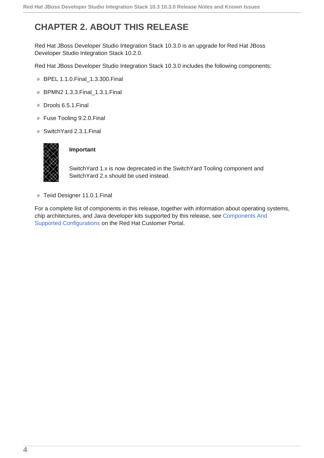# <span id="page-7-0"></span>**CHAPTER 2. ABOUT THIS RELEASE**

Red Hat JBoss Developer Studio Integration Stack 10.3.0 is an upgrade for Red Hat JBoss Developer Studio Integration Stack 10.2.0.

Red Hat JBoss Developer Studio Integration Stack 10.3.0 includes the following components:

- **BPEL 1.1.0.Final 1.3.300.Final**
- **BPMN2 1.3.3.Final 1.3.1.Final**
- Drools 6.5.1. Final
- **Fuse Tooling 9.2.0.Final**
- SwitchYard 2.3.1.Final



#### **Important**

SwitchYard 1.x is now deprecated in the SwitchYard Tooling component and SwitchYard 2.x should be used instead.

**F** Teiid Designer 11.0.1. Final

For a complete list of components in this release, together with information about operating systems, chip architectures, and Java developer kits supported by this release, see Components And Supported [Configurations](https://access.redhat.com/documentation/en/red-hat-jboss-developer-studio-integration-stack/10.3/single/components-and-supported-configurations/) on the Red Hat Customer Portal.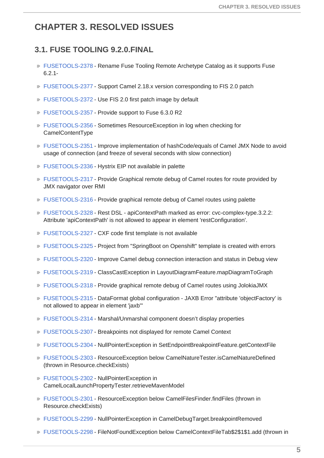## <span id="page-8-0"></span>**CHAPTER 3. RESOLVED ISSUES**

#### <span id="page-8-1"></span>**3.1. FUSE TOOLING 9.2.0.FINAL**

- [FUSETOOLS-2378](https://issues.jboss.org/browse/FUSETOOLS-2378) Rename Fuse Tooling Remote Archetype Catalog as it supports Fuse 6.2.1-
- [FUSETOOLS-2377](https://issues.jboss.org/browse/FUSETOOLS-2377) Support Camel 2.18.x version corresponding to FIS 2.0 patch
- [FUSETOOLS-2372](https://issues.jboss.org/browse/FUSETOOLS-2372) Use FIS 2.0 first patch image by default
- [FUSETOOLS-2357](https://issues.jboss.org/browse/FUSETOOLS-2357) Provide support to Fuse 6.3.0 R2
- [FUSETOOLS-2356](https://issues.jboss.org/browse/FUSETOOLS-2356) Sometimes ResourceException in log when checking for CamelContentType
- [FUSETOOLS-2351](https://issues.jboss.org/browse/FUSETOOLS-2351) Improve implementation of hashCode/equals of Camel JMX Node to avoid usage of connection (and freeze of several seconds with slow connection)
- [FUSETOOLS-2336](https://issues.jboss.org/browse/FUSETOOLS-2336) Hystrix EIP not available in palette
- [FUSETOOLS-2317](https://issues.jboss.org/browse/FUSETOOLS-2317) Provide Graphical remote debug of Camel routes for route provided by JMX navigator over RMI
- [FUSETOOLS-2316](https://issues.jboss.org/browse/FUSETOOLS-2316) Provide graphical remote debug of Camel routes using palette
- [FUSETOOLS-2328](https://issues.jboss.org/browse/FUSETOOLS-2328) Rest DSL apiContextPath marked as error: cvc-complex-type.3.2.2: Attribute 'apiContextPath' is not allowed to appear in element 'restConfiguration'.
- [FUSETOOLS-2327](https://issues.jboss.org/browse/FUSETOOLS-2327) CXF code first template is not available
- [FUSETOOLS-2325](https://issues.jboss.org/browse/FUSETOOLS-2325) Project from "SpringBoot on Openshift" template is created with errors
- [FUSETOOLS-2320](https://issues.jboss.org/browse/FUSETOOLS-2320) Improve Camel debug connection interaction and status in Debug view
- [FUSETOOLS-2319](https://issues.jboss.org/browse/FUSETOOLS-2319) ClassCastException in LayoutDiagramFeature.mapDiagramToGraph
- [FUSETOOLS-2318](https://issues.jboss.org/browse/FUSETOOLS-2318) Provide graphical remote debug of Camel routes using JolokiaJMX
- [FUSETOOLS-2315](https://issues.jboss.org/browse/FUSETOOLS-2315) DataFormat global configuration JAXB Error "attribute 'objectFactory' is not allowed to appear in element 'jaxb'"
- [FUSETOOLS-2314](https://issues.jboss.org/browse/FUSETOOLS-2314) Marshal/Unmarshal component doesn't display properties
- [FUSETOOLS-2307](https://issues.jboss.org/browse/FUSETOOLS-2307) Breakpoints not displayed for remote Camel Context
- [FUSETOOLS-2304](https://issues.jboss.org/browse/FUSETOOLS-2304) NullPointerException in SetEndpointBreakpointFeature.getContextFile
- [FUSETOOLS-2303](https://issues.jboss.org/browse/FUSETOOLS-2303) ResourceException below CamelNatureTester.isCamelNatureDefined (thrown in Resource.checkExists)
- [FUSETOOLS-2302](https://issues.jboss.org/browse/FUSETOOLS-2302) NullPointerException in CamelLocalLaunchPropertyTester.retrieveMavenModel
- [FUSETOOLS-2301](https://issues.jboss.org/browse/FUSETOOLS-2301) ResourceException below CamelFilesFinder.findFiles (thrown in Resource.checkExists)
- [FUSETOOLS-2299](https://issues.jboss.org/browse/FUSETOOLS-2299) NullPointerException in CamelDebugTarget.breakpointRemoved
- [FUSETOOLS-2298](https://issues.jboss.org/browse/FUSETOOLS-2298) FileNotFoundException below CamelContextFileTab\$2\$1\$1.add (thrown in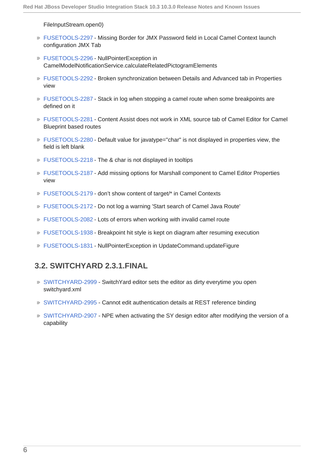FileInputStream.open0)

- [FUSETOOLS-2297](https://issues.jboss.org/browse/FUSETOOLS-2297) Missing Border for JMX Password field in Local Camel Context launch configuration JMX Tab
- [FUSETOOLS-2296](https://issues.jboss.org/browse/FUSETOOLS-2296) NullPointerException in CamelModelNotificationService.calculateRelatedPictogramElements
- [FUSETOOLS-2292](https://issues.jboss.org/browse/FUSETOOLS-2292) Broken synchronization between Details and Advanced tab in Properties view
- [FUSETOOLS-2287](https://issues.jboss.org/browse/FUSETOOLS-2287) Stack in log when stopping a camel route when some breakpoints are defined on it
- [FUSETOOLS-2281](https://issues.jboss.org/browse/FUSETOOLS-2281) Content Assist does not work in XML source tab of Camel Editor for Camel Blueprint based routes
- [FUSETOOLS-2280](https://issues.jboss.org/browse/FUSETOOLS-2280) Default value for javatype="char" is not displayed in properties view, the field is left blank
- [FUSETOOLS-2218](https://issues.jboss.org/browse/FUSETOOLS-2218) The & char is not displayed in tooltips
- [FUSETOOLS-2187](https://issues.jboss.org/browse/FUSETOOLS-2187) Add missing options for Marshall component to Camel Editor Properties view
- [FUSETOOLS-2179](https://issues.jboss.org/browse/FUSETOOLS-2179) don't show content of target/\* in Camel Contexts
- [FUSETOOLS-2172](https://issues.jboss.org/browse/FUSETOOLS-2172) Do not log a warning 'Start search of Camel Java Route'
- [FUSETOOLS-2082](https://issues.jboss.org/browse/FUSETOOLS-2082) Lots of errors when working with invalid camel route
- [FUSETOOLS-1938](https://issues.jboss.org/browse/FUSETOOLS-1938) Breakpoint hit style is kept on diagram after resuming execution
- [FUSETOOLS-1831](https://issues.jboss.org/browse/FUSETOOLS-1831) NullPointerException in UpdateCommand.updateFigure

#### <span id="page-9-0"></span>**3.2. SWITCHYARD 2.3.1.FINAL**

- [SWITCHYARD-2999](https://issues.jboss.org/browse/SWITCHYARD-2999) SwitchYard editor sets the editor as dirty everytime you open switchyard.xml
- [SWITCHYARD-2995](https://issues.jboss.org/browse/SWITCHYARD-2995) Cannot edit authentication details at REST reference binding
- [SWITCHYARD-2907](https://issues.jboss.org/browse/SWITCHYARD-2907) NPE when activating the SY design editor after modifying the version of a capability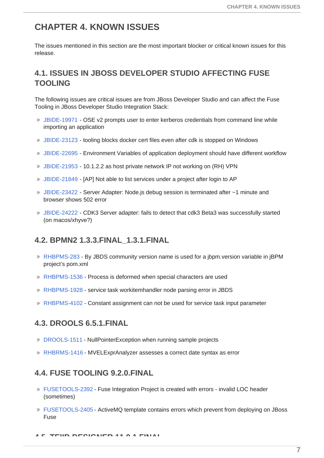## <span id="page-10-0"></span>**CHAPTER 4. KNOWN ISSUES**

The issues mentioned in this section are the most important blocker or critical known issues for this release.

## <span id="page-10-1"></span>**4.1. ISSUES IN JBOSS DEVELOPER STUDIO AFFECTING FUSE TOOLING**

The following issues are critical issues are from JBoss Developer Studio and can affect the Fuse Tooling in JBoss Developer Studio Integration Stack:

- [JBIDE-19971](https://issues.jboss.org/browse/JBIDE-19971) OSE v2 prompts user to enter kerberos credentials from command line while importing an application
- [JBIDE-23123](https://issues.jboss.org/browse/JBIDE-23123) tooling blocks docker cert files even after cdk is stopped on Windows
- [JBIDE-22695](https://issues.jboss.org/browse/JBIDE-22695) Environment Variables of application deployment should have different workflow
- [JBIDE-21953](https://issues.jboss.org/browse/JBIDE-21953) 10.1.2.2 as host private network IP not working on (RH) VPN
- [JBIDE-21849](https://issues.jboss.org/browse/JBIDE-21849) [AP] Not able to list services under a project after login to AP
- $\textdegree$  [JBIDE-23422](https://issues.jboss.org/browse/JBIDE-23422) Server Adapter: Node. is debug session is terminated after  $\sim$ 1 minute and browser shows 502 error
- [JBIDE-24222](https://issues.jboss.org/browse/JBIDE-24222) CDK3 Server adapter: fails to detect that cdk3 Beta3 was successfully started (on macos/xhyve?)

#### <span id="page-10-2"></span>**4.2. BPMN2 1.3.3.FINAL\_1.3.1.FINAL**

- [RHBPMS-283](https://issues.jboss.org/browse/RHBPMS-283) By JBDS community version name is used for a jbpm.version variable in jBPM project's pom.xml
- **[RHBPMS-1536](https://issues.jboss.org/browse/RHBPMS-1536) Process is deformed when special characters are used**
- **[RHBPMS-1928](https://issues.jboss.org/browse/RHBPMS-1928) service task workitemhandler node parsing error in JBDS**
- [RHBPMS-4102](https://issues.jboss.org/browse/RHBPMS-4102) Constant assignment can not be used for service task input parameter

#### <span id="page-10-3"></span>**4.3. DROOLS 6.5.1.FINAL**

- **[DROOLS-1511](https://issues.jboss.org/browse/DROOLS-1511) NullPointerException when running sample projects**
- [RHBRMS-1416](https://issues.jboss.org/browse/RHBRMS-1416) MVELExprAnalyzer assesses a correct date syntax as error

#### <span id="page-10-4"></span>**4.4. FUSE TOOLING 9.2.0.FINAL**

- [FUSETOOLS-2392](https://issues.jboss.org/browse/FUSETOOLS-2392) Fuse Integration Project is created with errors invalid LOC header (sometimes)
- [FUSETOOLS-2405](https://issues.jboss.org/browse/FUSETOOLS-2405) ActiveMQ template contains errors which prevent from deploying on JBoss Fuse

**4.5. TEIID DESIGNER 11.0.1.FINAL**